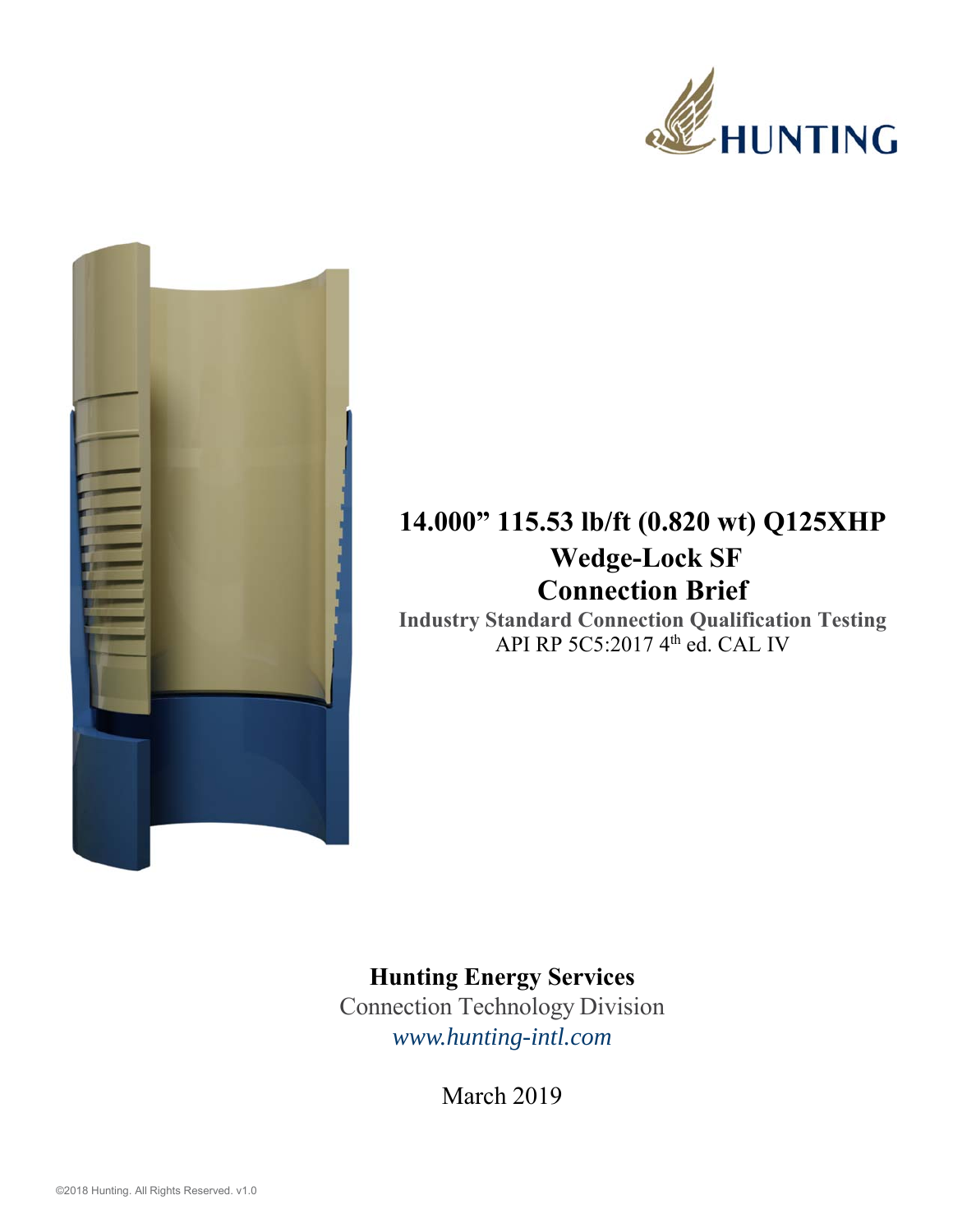



## **14.000" 115.53 lb/ft (0.820 wt) Q125XHP Wedge-Lock SF Connection Brief**

**Industry Standard Connection Qualification Testing**  API RP 5C5:2017 4<sup>th</sup> ed. CAL IV

## **Hunting Energy Services**

Connection Technology Division *www.hunting-intl.com*

March 2019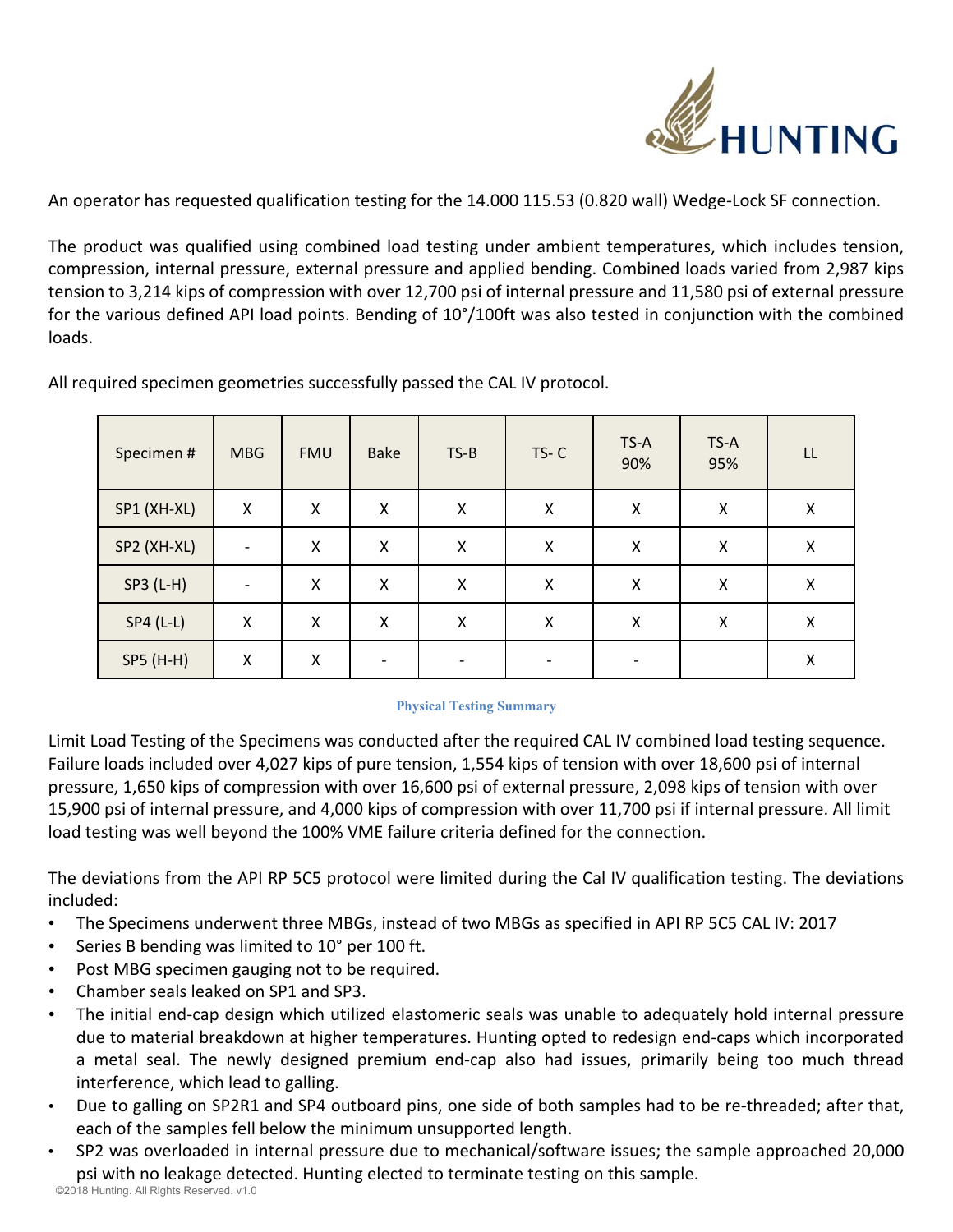

An operator has requested qualification testing for the 14.000 115.53 (0.820 wall) Wedge‐Lock SF connection.

The product was qualified using combined load testing under ambient temperatures, which includes tension, compression, internal pressure, external pressure and applied bending. Combined loads varied from 2,987 kips tension to 3,214 kips of compression with over 12,700 psi of internal pressure and 11,580 psi of external pressure for the various defined API load points. Bending of 10°/100ft was also tested in conjunction with the combined loads.

| Specimen #  | <b>MBG</b>               | <b>FMU</b> | <b>Bake</b> | $TS-B$ | $TS-C$ | TS-A<br>90% | TS-A<br>95%        | LL |
|-------------|--------------------------|------------|-------------|--------|--------|-------------|--------------------|----|
| SP1 (XH-XL) | Χ                        | Χ          | X           | X      | Χ      | X           | Χ                  | X  |
| SP2 (XH-XL) | $\overline{\phantom{a}}$ | Χ          | X           | Χ      | Χ      | Χ           | $\pmb{\mathsf{X}}$ | X  |
| $SP3 (L-H)$ | $\overline{\phantom{a}}$ | Χ          | Χ           | Χ      | Χ      | X           | Χ                  | Χ  |
| $SP4 (L-L)$ | X                        | X          | Χ           | Χ      | Χ      | X           | X                  | X  |
| SP5 (H-H)   | Χ                        | Χ          |             |        |        |             |                    | X  |

All required specimen geometries successfully passed the CAL IV protocol.

## **Physical Testing Summary**

Limit Load Testing of the Specimens was conducted after the required CAL IV combined load testing sequence. Failure loads included over 4,027 kips of pure tension, 1,554 kips of tension with over 18,600 psi of internal pressure, 1,650 kips of compression with over 16,600 psi of external pressure, 2,098 kips of tension with over 15,900 psi of internal pressure, and 4,000 kips of compression with over 11,700 psi if internal pressure. All limit load testing was well beyond the 100% VME failure criteria defined for the connection.

The deviations from the API RP 5C5 protocol were limited during the Cal IV qualification testing. The deviations included:

- The Specimens underwent three MBGs, instead of two MBGs as specified in API RP 5C5 CAL IV: 2017
- Series B bending was limited to 10° per 100 ft.
- Post MBG specimen gauging not to be required.
- Chamber seals leaked on SP1 and SP3.
- The initial end-cap design which utilized elastomeric seals was unable to adequately hold internal pressure due to material breakdown at higher temperatures. Hunting opted to redesign end‐caps which incorporated a metal seal. The newly designed premium end-cap also had issues, primarily being too much thread interference, which lead to galling.
- Due to galling on SP2R1 and SP4 outboard pins, one side of both samples had to be re‐threaded; after that, each of the samples fell below the minimum unsupported length.
- ©2018 Hunting. All Rights Reserved. v1.0 • SP2 was overloaded in internal pressure due to mechanical/software issues; the sample approached 20,000 psi with no leakage detected. Hunting elected to terminate testing on this sample.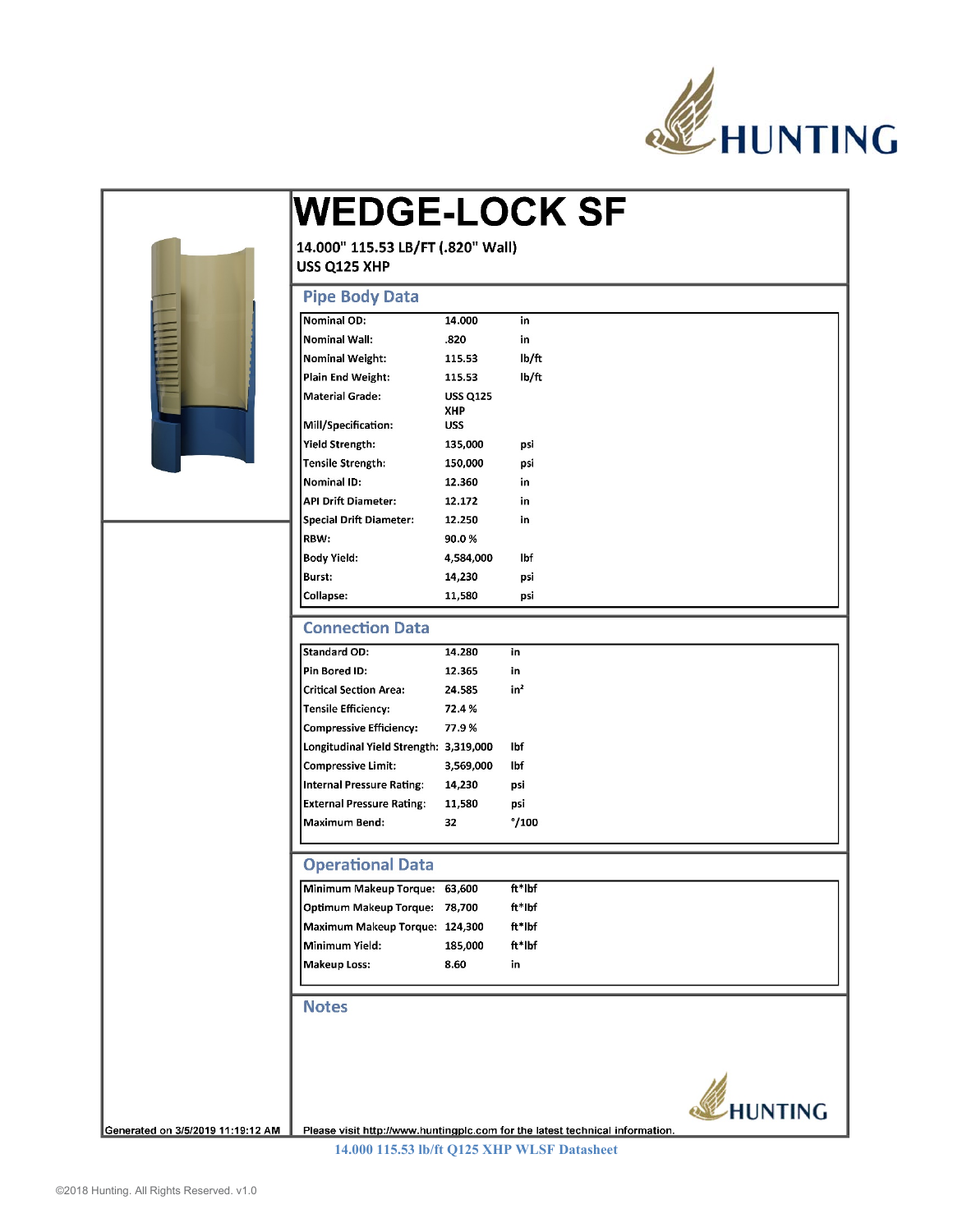

|                                   | <b>WEDGE-LOCK SF</b>                                       |                        |                                                                              |                |  |  |  |  |  |
|-----------------------------------|------------------------------------------------------------|------------------------|------------------------------------------------------------------------------|----------------|--|--|--|--|--|
|                                   | 14.000" 115.53 LB/FT (.820" Wall)<br>USS Q125 XHP          |                        |                                                                              |                |  |  |  |  |  |
|                                   |                                                            |                        |                                                                              |                |  |  |  |  |  |
|                                   | <b>Pipe Body Data</b>                                      |                        |                                                                              |                |  |  |  |  |  |
|                                   | <b>Nominal OD:</b>                                         | 14.000                 | in                                                                           |                |  |  |  |  |  |
|                                   | <b>Nominal Wall:</b>                                       | .820                   | in                                                                           |                |  |  |  |  |  |
|                                   | <b>Nominal Weight:</b>                                     | 115.53                 | lb/ft                                                                        |                |  |  |  |  |  |
|                                   | Plain End Weight:                                          | 115.53                 | lb/ft                                                                        |                |  |  |  |  |  |
|                                   | <b>Material Grade:</b>                                     | <b>USS Q125</b><br>XHP |                                                                              |                |  |  |  |  |  |
|                                   | Mill/Specification:                                        | <b>USS</b>             |                                                                              |                |  |  |  |  |  |
|                                   | Yield Strength:                                            | 135,000                | psi                                                                          |                |  |  |  |  |  |
|                                   | <b>Tensile Strength:</b>                                   | 150,000                | psi                                                                          |                |  |  |  |  |  |
|                                   | Nominal ID:                                                | 12.360                 | in                                                                           |                |  |  |  |  |  |
|                                   | <b>API Drift Diameter:</b>                                 | 12.172                 | in                                                                           |                |  |  |  |  |  |
|                                   | <b>Special Drift Diameter:</b>                             | 12.250                 | in                                                                           |                |  |  |  |  |  |
|                                   | RBW:                                                       | 90.0%                  |                                                                              |                |  |  |  |  |  |
|                                   | <b>Body Yield:</b>                                         | 4,584,000              | lbf                                                                          |                |  |  |  |  |  |
|                                   | Burst:<br><b>Collapse:</b>                                 | 14,230<br>11,580       | psi<br>psi                                                                   |                |  |  |  |  |  |
|                                   |                                                            |                        |                                                                              |                |  |  |  |  |  |
|                                   | <b>Connection Data</b>                                     |                        |                                                                              |                |  |  |  |  |  |
|                                   | <b>Standard OD:</b>                                        | 14.280                 | in                                                                           |                |  |  |  |  |  |
|                                   | Pin Bored ID:                                              | 12.365                 | in                                                                           |                |  |  |  |  |  |
|                                   | in <sup>2</sup><br><b>Critical Section Area:</b><br>24.585 |                        |                                                                              |                |  |  |  |  |  |
|                                   | <b>Tensile Efficiency:</b>                                 | 72.4%                  |                                                                              |                |  |  |  |  |  |
|                                   | <b>Compressive Efficiency:</b>                             | 77.9%                  |                                                                              |                |  |  |  |  |  |
|                                   | Longitudinal Yield Strength: 3,319,000                     |                        | lbf                                                                          |                |  |  |  |  |  |
|                                   | <b>Compressive Limit:</b>                                  | 3,569,000              | lbf                                                                          |                |  |  |  |  |  |
|                                   | <b>Internal Pressure Rating:</b>                           | 14,230                 | psi                                                                          |                |  |  |  |  |  |
|                                   | <b>External Pressure Rating:</b>                           | 11,580                 | osi                                                                          |                |  |  |  |  |  |
|                                   | Maximum Bend:                                              | 32                     | $^{\circ}/100$                                                               |                |  |  |  |  |  |
|                                   | <b>Operational Data</b>                                    |                        |                                                                              |                |  |  |  |  |  |
|                                   | Minimum Makeup Torque: 63,600                              |                        | ft*lbf                                                                       |                |  |  |  |  |  |
|                                   | Optimum Makeup Torque: 78,700                              |                        | ft*lbf                                                                       |                |  |  |  |  |  |
|                                   | Maximum Makeup Torque: 124,300                             |                        | ft*lbf                                                                       |                |  |  |  |  |  |
|                                   | Minimum Yield:                                             | 185,000                | ft*lbf                                                                       |                |  |  |  |  |  |
|                                   | <b>Makeup Loss:</b>                                        | 8.60                   | in                                                                           |                |  |  |  |  |  |
|                                   | <b>Notes</b>                                               |                        |                                                                              |                |  |  |  |  |  |
|                                   |                                                            |                        |                                                                              |                |  |  |  |  |  |
|                                   |                                                            |                        |                                                                              |                |  |  |  |  |  |
| Generated on 3/5/2019 11:19:12 AM |                                                            |                        | Please visit http://www.huntingplc.com for the latest technical information. | <b>HUNTING</b> |  |  |  |  |  |

**14.000 115.53 lb/ft Q125 XHP WLSF Datasheet**